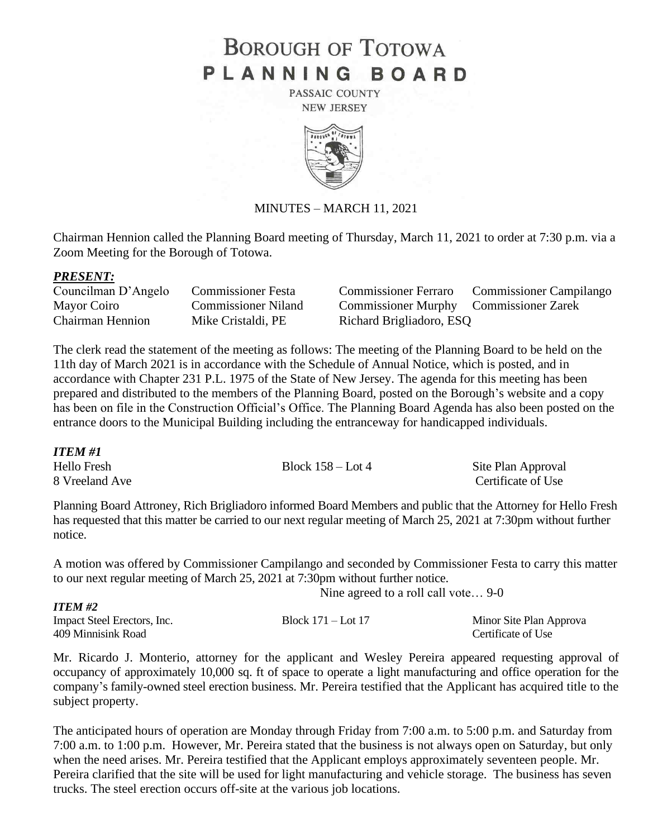# **BOROUGH OF TOTOWA** PLANNING BOARD

PASSAIC COUNTY **NEW JERSEY** 



### MINUTES – MARCH 11, 2021

Chairman Hennion called the Planning Board meeting of Thursday, March 11, 2021 to order at 7:30 p.m. via a Zoom Meeting for the Borough of Totowa.

### *PRESENT:*

*ITEM #2*

| Councilman D'Angelo     | <b>Commissioner Festa</b>  |
|-------------------------|----------------------------|
| Mayor Coiro             | <b>Commissioner Niland</b> |
| <b>Chairman Hennion</b> | Mike Cristaldi, PE         |

Commissioner Ferraro Commissioner Campilango Commissioner Murphy Commissioner Zarek Richard Brigliadoro, ESQ

The clerk read the statement of the meeting as follows: The meeting of the Planning Board to be held on the 11th day of March 2021 is in accordance with the Schedule of Annual Notice, which is posted, and in accordance with Chapter 231 P.L. 1975 of the State of New Jersey. The agenda for this meeting has been prepared and distributed to the members of the Planning Board, posted on the Borough's website and a copy has been on file in the Construction Official's Office. The Planning Board Agenda has also been posted on the entrance doors to the Municipal Building including the entranceway for handicapped individuals.

*ITEM #1* Hello Fresh Block 158 – Lot 4 Site Plan Approval 8 Vreeland Ave Certificate of Use

Planning Board Attroney, Rich Brigliadoro informed Board Members and public that the Attorney for Hello Fresh has requested that this matter be carried to our next regular meeting of March 25, 2021 at 7:30pm without further notice.

A motion was offered by Commissioner Campilango and seconded by Commissioner Festa to carry this matter to our next regular meeting of March 25, 2021 at 7:30pm without further notice.

Nine agreed to a roll call vote… 9-0

| 11 LIVI 172                 |                        |                         |
|-----------------------------|------------------------|-------------------------|
| Impact Steel Erectors, Inc. | Block $171 -$ Lot $17$ | Minor Site Plan Approva |
| 409 Minnisink Road          |                        | Certificate of Use      |

Mr. Ricardo J. Monterio, attorney for the applicant and Wesley Pereira appeared requesting approval of occupancy of approximately 10,000 sq. ft of space to operate a light manufacturing and office operation for the company's family-owned steel erection business. Mr. Pereira testified that the Applicant has acquired title to the subject property.

The anticipated hours of operation are Monday through Friday from 7:00 a.m. to 5:00 p.m. and Saturday from 7:00 a.m. to 1:00 p.m. However, Mr. Pereira stated that the business is not always open on Saturday, but only when the need arises. Mr. Pereira testified that the Applicant employs approximately seventeen people. Mr. Pereira clarified that the site will be used for light manufacturing and vehicle storage. The business has seven trucks. The steel erection occurs off-site at the various job locations.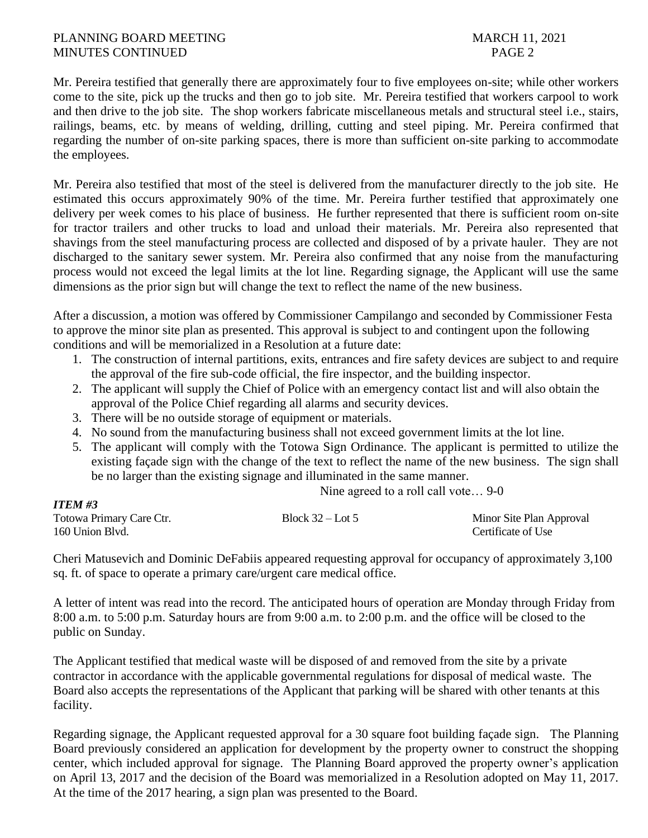### PLANNING BOARD MEETING MARCH 11, 2021 MINUTES CONTINUED PAGE 2

*ITEM #3*

Mr. Pereira testified that generally there are approximately four to five employees on-site; while other workers come to the site, pick up the trucks and then go to job site. Mr. Pereira testified that workers carpool to work and then drive to the job site. The shop workers fabricate miscellaneous metals and structural steel i.e., stairs, railings, beams, etc. by means of welding, drilling, cutting and steel piping. Mr. Pereira confirmed that regarding the number of on-site parking spaces, there is more than sufficient on-site parking to accommodate the employees.

Mr. Pereira also testified that most of the steel is delivered from the manufacturer directly to the job site. He estimated this occurs approximately 90% of the time. Mr. Pereira further testified that approximately one delivery per week comes to his place of business. He further represented that there is sufficient room on-site for tractor trailers and other trucks to load and unload their materials. Mr. Pereira also represented that shavings from the steel manufacturing process are collected and disposed of by a private hauler. They are not discharged to the sanitary sewer system. Mr. Pereira also confirmed that any noise from the manufacturing process would not exceed the legal limits at the lot line. Regarding signage, the Applicant will use the same dimensions as the prior sign but will change the text to reflect the name of the new business.

After a discussion, a motion was offered by Commissioner Campilango and seconded by Commissioner Festa to approve the minor site plan as presented. This approval is subject to and contingent upon the following conditions and will be memorialized in a Resolution at a future date:

- 1. The construction of internal partitions, exits, entrances and fire safety devices are subject to and require the approval of the fire sub-code official, the fire inspector, and the building inspector.
- 2. The applicant will supply the Chief of Police with an emergency contact list and will also obtain the approval of the Police Chief regarding all alarms and security devices.
- 3. There will be no outside storage of equipment or materials.
- 4. No sound from the manufacturing business shall not exceed government limits at the lot line.
- 5. The applicant will comply with the Totowa Sign Ordinance. The applicant is permitted to utilize the existing façade sign with the change of the text to reflect the name of the new business. The sign shall be no larger than the existing signage and illuminated in the same manner.

Nine agreed to a roll call vote… 9-0

| --------                 |                    |                          |
|--------------------------|--------------------|--------------------------|
| Totowa Primary Care Ctr. | Block $32 -$ Lot 5 | Minor Site Plan Approval |
| 160 Union Blvd.          |                    | Certificate of Use       |

Cheri Matusevich and Dominic DeFabiis appeared requesting approval for occupancy of approximately 3,100 sq. ft. of space to operate a primary care/urgent care medical office.

A letter of intent was read into the record. The anticipated hours of operation are Monday through Friday from 8:00 a.m. to 5:00 p.m. Saturday hours are from 9:00 a.m. to 2:00 p.m. and the office will be closed to the public on Sunday.

The Applicant testified that medical waste will be disposed of and removed from the site by a private contractor in accordance with the applicable governmental regulations for disposal of medical waste. The Board also accepts the representations of the Applicant that parking will be shared with other tenants at this facility.

Regarding signage, the Applicant requested approval for a 30 square foot building façade sign. The Planning Board previously considered an application for development by the property owner to construct the shopping center, which included approval for signage. The Planning Board approved the property owner's application on April 13, 2017 and the decision of the Board was memorialized in a Resolution adopted on May 11, 2017. At the time of the 2017 hearing, a sign plan was presented to the Board.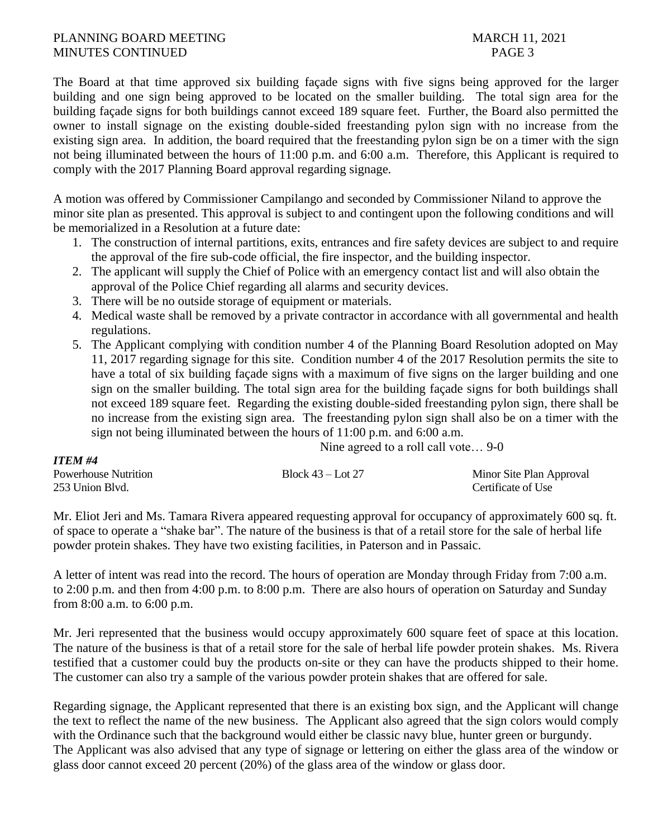### PLANNING BOARD MEETING MARCH 11, 2021 MINUTES CONTINUED PAGE 3

*ITEM #4*

The Board at that time approved six building façade signs with five signs being approved for the larger building and one sign being approved to be located on the smaller building. The total sign area for the building façade signs for both buildings cannot exceed 189 square feet. Further, the Board also permitted the owner to install signage on the existing double-sided freestanding pylon sign with no increase from the existing sign area. In addition, the board required that the freestanding pylon sign be on a timer with the sign not being illuminated between the hours of 11:00 p.m. and 6:00 a.m. Therefore, this Applicant is required to comply with the 2017 Planning Board approval regarding signage.

A motion was offered by Commissioner Campilango and seconded by Commissioner Niland to approve the minor site plan as presented. This approval is subject to and contingent upon the following conditions and will be memorialized in a Resolution at a future date:

- 1. The construction of internal partitions, exits, entrances and fire safety devices are subject to and require the approval of the fire sub-code official, the fire inspector, and the building inspector.
- 2. The applicant will supply the Chief of Police with an emergency contact list and will also obtain the approval of the Police Chief regarding all alarms and security devices.
- 3. There will be no outside storage of equipment or materials.
- 4. Medical waste shall be removed by a private contractor in accordance with all governmental and health regulations.
- 5. The Applicant complying with condition number 4 of the Planning Board Resolution adopted on May 11, 2017 regarding signage for this site. Condition number 4 of the 2017 Resolution permits the site to have a total of six building façade signs with a maximum of five signs on the larger building and one sign on the smaller building. The total sign area for the building façade signs for both buildings shall not exceed 189 square feet. Regarding the existing double-sided freestanding pylon sign, there shall be no increase from the existing sign area. The freestanding pylon sign shall also be on a timer with the sign not being illuminated between the hours of 11:00 p.m. and 6:00 a.m.

Nine agreed to a roll call vote… 9-0

| 11 1270 <del>11 4</del>     |                     |                          |
|-----------------------------|---------------------|--------------------------|
| <b>Powerhouse Nutrition</b> | Block $43$ – Lot 27 | Minor Site Plan Approval |
| 253 Union Blvd.             |                     | Certificate of Use       |

Mr. Eliot Jeri and Ms. Tamara Rivera appeared requesting approval for occupancy of approximately 600 sq. ft. of space to operate a "shake bar". The nature of the business is that of a retail store for the sale of herbal life powder protein shakes. They have two existing facilities, in Paterson and in Passaic.

A letter of intent was read into the record. The hours of operation are Monday through Friday from 7:00 a.m. to 2:00 p.m. and then from 4:00 p.m. to 8:00 p.m. There are also hours of operation on Saturday and Sunday from 8:00 a.m. to 6:00 p.m.

Mr. Jeri represented that the business would occupy approximately 600 square feet of space at this location. The nature of the business is that of a retail store for the sale of herbal life powder protein shakes. Ms. Rivera testified that a customer could buy the products on-site or they can have the products shipped to their home. The customer can also try a sample of the various powder protein shakes that are offered for sale.

Regarding signage, the Applicant represented that there is an existing box sign, and the Applicant will change the text to reflect the name of the new business. The Applicant also agreed that the sign colors would comply with the Ordinance such that the background would either be classic navy blue, hunter green or burgundy. The Applicant was also advised that any type of signage or lettering on either the glass area of the window or glass door cannot exceed 20 percent (20%) of the glass area of the window or glass door.